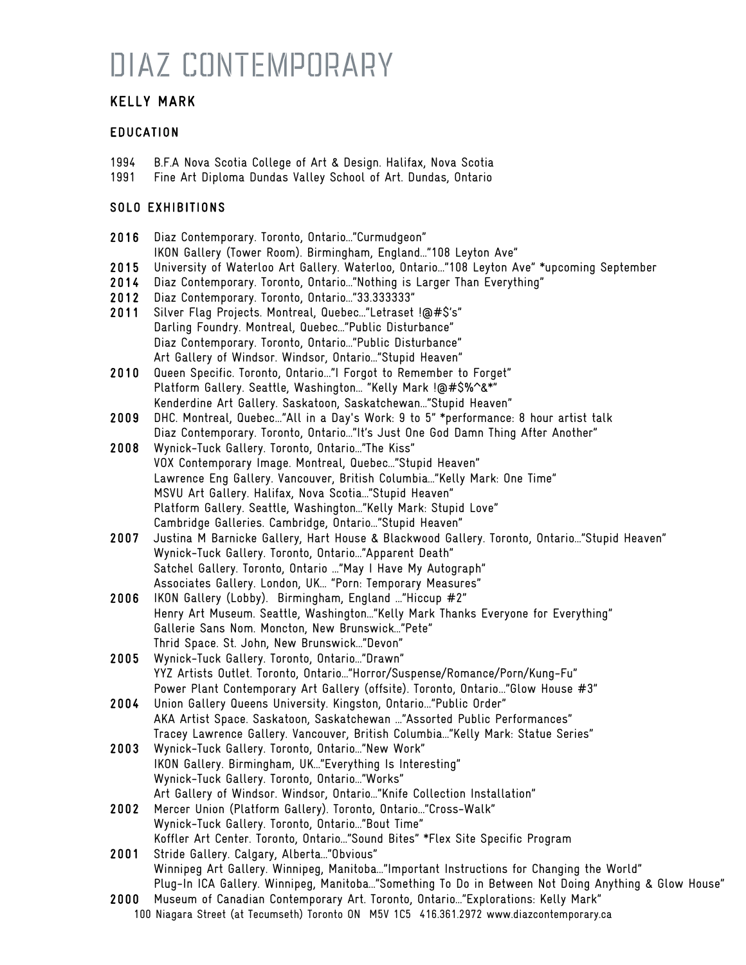### KELLY MARK

#### EDUCATION

- 1994 B.F.A Nova Scotia College of Art & Design. Halifax, Nova Scotia<br>1991 Fine Art Diploma Dundas Valley School of Art. Dundas, Ontario
- Fine Art Diploma Dundas Valley School of Art. Dundas, Ontario

### SOLO EXHIBITIONS

| 2016 | Diaz Contemporary. Toronto, Ontario"Curmudgeon"                                                                                                                              |
|------|------------------------------------------------------------------------------------------------------------------------------------------------------------------------------|
|      | IKON Gallery (Tower Room). Birmingham, England"108 Leyton Ave"                                                                                                               |
| 2015 | University of Waterloo Art Gallery. Waterloo, Ontario"108 Leyton Ave" *upcoming September                                                                                    |
| 2014 | Diaz Contemporary. Toronto, Ontario"Nothing is Larger Than Everything"                                                                                                       |
| 2012 | Diaz Contemporary. Toronto, Ontario"33.3333333"                                                                                                                              |
| 2011 | Silver Flag Projects. Montreal, Quebec"Letraset !@#\$'s"                                                                                                                     |
|      | Darling Foundry. Montreal, Quebec"Public Disturbance"                                                                                                                        |
|      | Diaz Contemporary. Toronto, Ontario"Public Disturbance"                                                                                                                      |
|      | Art Gallery of Windsor. Windsor, Ontario"Stupid Heaven"                                                                                                                      |
| 2010 | Queen Specific. Toronto, Ontario"I Forgot to Remember to Forget"                                                                                                             |
|      | Platform Gallery. Seattle, Washington "Kelly Mark !@#\$%^&*"                                                                                                                 |
|      | Kenderdine Art Gallery. Saskatoon, Saskatchewan"Stupid Heaven"                                                                                                               |
| 2009 | DHC. Montreal, Quebec"All in a Day's Work: 9 to 5" *performance: 8 hour artist talk                                                                                          |
|      | Diaz Contemporary. Toronto, Ontario"It's Just One God Damn Thing After Another"                                                                                              |
| 2008 | Wynick-Tuck Gallery. Toronto, Ontario"The Kiss"                                                                                                                              |
|      | VOX Contemporary Image. Montreal, Quebec"Stupid Heaven"                                                                                                                      |
|      | Lawrence Eng Gallery. Vancouver, British Columbia"Kelly Mark: One Time"                                                                                                      |
|      | MSVU Art Gallery. Halifax, Nova Scotia"Stupid Heaven"                                                                                                                        |
|      | Platform Gallery. Seattle, Washington"Kelly Mark: Stupid Love"                                                                                                               |
|      | Cambridge Galleries. Cambridge, Ontario"Stupid Heaven"                                                                                                                       |
| 2007 | Justina M Barnicke Gallery, Hart House & Blackwood Gallery. Toronto, Ontario"Stupid Heaven"                                                                                  |
|      | Wynick-Tuck Gallery. Toronto, Ontario"Apparent Death"                                                                                                                        |
|      | Satchel Gallery. Toronto, Ontario  "May I Have My Autograph"                                                                                                                 |
|      | Associates Gallery. London, UK "Porn: Temporary Measures"                                                                                                                    |
| 2006 | IKON Gallery (Lobby). Birmingham, England  "Hiccup #2"                                                                                                                       |
|      | Henry Art Museum. Seattle, Washington"Kelly Mark Thanks Everyone for Everything"                                                                                             |
|      | Gallerie Sans Nom. Moncton, New Brunswick"Pete"                                                                                                                              |
|      | Thrid Space. St. John, New Brunswick"Devon"                                                                                                                                  |
| 2005 | Wynick-Tuck Gallery. Toronto, Ontario"Drawn"                                                                                                                                 |
|      | YYZ Artists Outlet. Toronto, Ontario"Horror/Suspense/Romance/Porn/Kung-Fu"                                                                                                   |
|      | Power Plant Contemporary Art Gallery (offsite). Toronto, Ontario"Glow House #3"                                                                                              |
| 2004 | Union Gallery Queens University. Kingston, Ontario"Public Order"                                                                                                             |
|      | AKA Artist Space. Saskatoon, Saskatchewan  "Assorted Public Performances"                                                                                                    |
|      | Tracey Lawrence Gallery. Vancouver, British Columbia"Kelly Mark: Statue Series"                                                                                              |
| 2003 | Wynick-Tuck Gallery. Toronto, Ontario"New Work"                                                                                                                              |
|      | IKON Gallery. Birmingham, UK"Everything Is Interesting"                                                                                                                      |
|      | Wynick-Tuck Gallery. Toronto, Ontario "Works"                                                                                                                                |
|      | Art Gallery of Windsor. Windsor, Ontario"Knife Collection Installation"                                                                                                      |
| 2002 | Mercer Union (Platform Gallery). Toronto, Ontario"Cross-Walk"                                                                                                                |
|      | Wynick-Tuck Gallery. Toronto, Ontario"Bout Time"                                                                                                                             |
|      | Koffler Art Center. Toronto, Ontario"Sound Bites" *Flex Site Specific Program                                                                                                |
| 2001 | Stride Gallery. Calgary, Alberta"Obvious"                                                                                                                                    |
|      | Winnipeg Art Gallery. Winnipeg, Manitoba"Important Instructions for Changing the World"                                                                                      |
|      | Plug-In ICA Gallery. Winnipeg, Manitoba"Something To Do in Between Not Doing Anything & Glow House"                                                                          |
| 2000 | Museum of Canadian Contemporary Art. Toronto, Ontario"Explorations: Kelly Mark"<br>100 Niagara Street (at Tecumseth) Toronto ON M5V 1C5 416.361.2972 www.diazcontemporary.ca |
|      |                                                                                                                                                                              |
|      |                                                                                                                                                                              |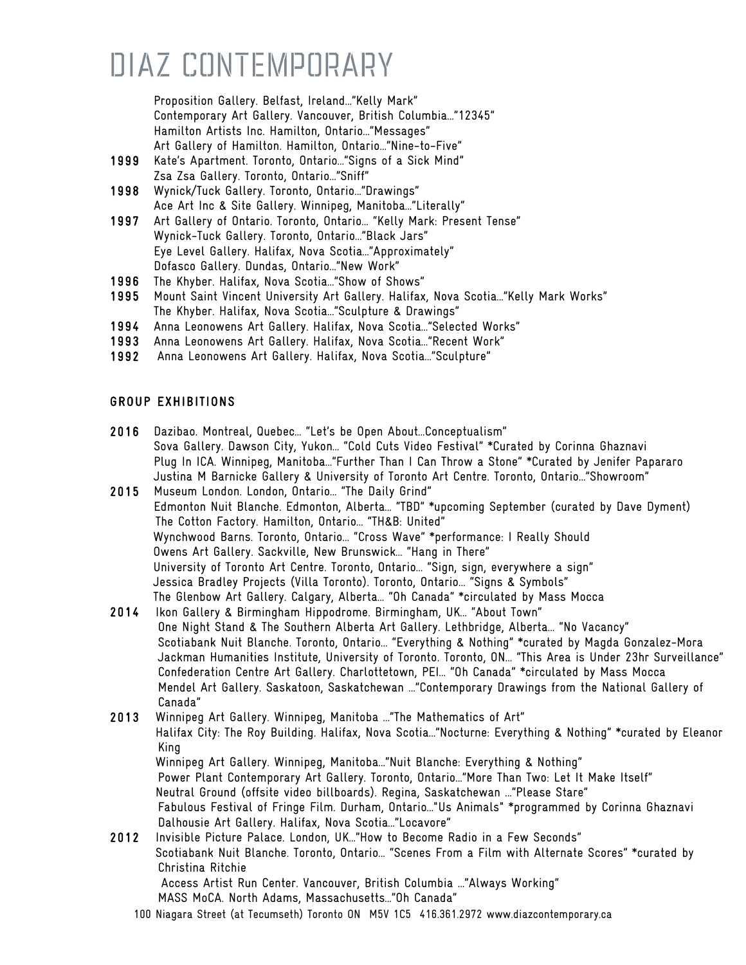Proposition Gallery. Belfast, Ireland…"Kelly Mark" Contemporary Art Gallery. Vancouver, British Columbia…"12345" Hamilton Artists Inc. Hamilton, Ontario…"Messages" Art Gallery of Hamilton. Hamilton, Ontario…"Nine-to-Five"

- 1999 Kate's Apartment. Toronto, Ontario…"Signs of a Sick Mind" Zsa Zsa Gallery. Toronto, Ontario…"Sniff"
- 1998 Wynick/Tuck Gallery. Toronto, Ontario…"Drawings" Ace Art Inc & Site Gallery. Winnipeg, Manitoba…"Literally"
- 1997 Art Gallery of Ontario. Toronto, Ontario… "Kelly Mark: Present Tense" Wynick-Tuck Gallery. Toronto, Ontario…"Black Jars" Eye Level Gallery. Halifax, Nova Scotia…"Approximately" Dofasco Gallery. Dundas, Ontario…"New Work"
- 1996 The Khyber. Halifax, Nova Scotia…"Show of Shows"
- 1995 Mount Saint Vincent University Art Gallery. Halifax, Nova Scotia…"Kelly Mark Works" The Khyber. Halifax, Nova Scotia…"Sculpture & Drawings"
- 1994 Anna Leonowens Art Gallery. Halifax, Nova Scotia…"Selected Works"
- 1993 Anna Leonowens Art Gallery. Halifax, Nova Scotia…"Recent Work"
- 1992 Anna Leonowens Art Gallery. Halifax, Nova Scotia…"Sculpture"

#### GROUP EXHIBITIONS

2016 Dazibao. Montreal, Quebec… "Let's be Open About…Conceptualism" Sova Gallery. Dawson City, Yukon… "Cold Cuts Video Festival" \*Curated by Corinna Ghaznavi Plug In ICA. Winnipeg, Manitoba…"Further Than I Can Throw a Stone" \*Curated by Jenifer Papararo Justina M Barnicke Gallery & University of Toronto Art Centre. Toronto, Ontario…"Showroom"

2015 Museum London. London, Ontario… "The Daily Grind" Edmonton Nuit Blanche. Edmonton, Alberta… "TBD" \*upcoming September (curated by Dave Dyment) The Cotton Factory. Hamilton, Ontario… "TH&B: United" Wynchwood Barns. Toronto, Ontario… "Cross Wave" \*performance: I Really Should Owens Art Gallery. Sackville, New Brunswick… "Hang in There" University of Toronto Art Centre. Toronto, Ontario… "Sign, sign, everywhere a sign" Jessica Bradley Projects (Villa Toronto). Toronto, Ontario… "Signs & Symbols" The Glenbow Art Gallery. Calgary, Alberta… "Oh Canada" \*circulated by Mass Mocca

- 2014 Ikon Gallery & Birmingham Hippodrome. Birmingham, UK… "About Town" One Night Stand & The Southern Alberta Art Gallery. Lethbridge, Alberta… "No Vacancy" Scotiabank Nuit Blanche. Toronto, Ontario… "Everything & Nothing" \*curated by Magda Gonzalez-Mora Jackman Humanities Institute, University of Toronto. Toronto, ON… "This Area is Under 23hr Surveillance" Confederation Centre Art Gallery. Charlottetown, PEI… "Oh Canada" \*circulated by Mass Mocca Mendel Art Gallery. Saskatoon, Saskatchewan …"Contemporary Drawings from the National Gallery of Canada"
- 2013 Winnipeg Art Gallery. Winnipeg, Manitoba …"The Mathematics of Art" Halifax City: The Roy Building. Halifax, Nova Scotia…"Nocturne: Everything & Nothing" \*curated by Eleanor King Winnipeg Art Gallery. Winnipeg, Manitoba…"Nuit Blanche: Everything & Nothing" Power Plant Contemporary Art Gallery. Toronto, Ontario…"More Than Two: Let It Make Itself" Neutral Ground (offsite video billboards). Regina, Saskatchewan …"Please Stare" Fabulous Festival of Fringe Film. Durham, Ontario…"Us Animals" \*programmed by Corinna Ghaznavi Dalhousie Art Gallery. Halifax, Nova Scotia…"Locavore" 2012 Invisible Picture Palace. London, UK…"How to Become Radio in a Few Seconds"

 Scotiabank Nuit Blanche. Toronto, Ontario… "Scenes From a Film with Alternate Scores" \*curated by Christina Ritchie

 Access Artist Run Center. Vancouver, British Columbia …"Always Working" MASS MoCA. North Adams, Massachusetts…"Oh Canada"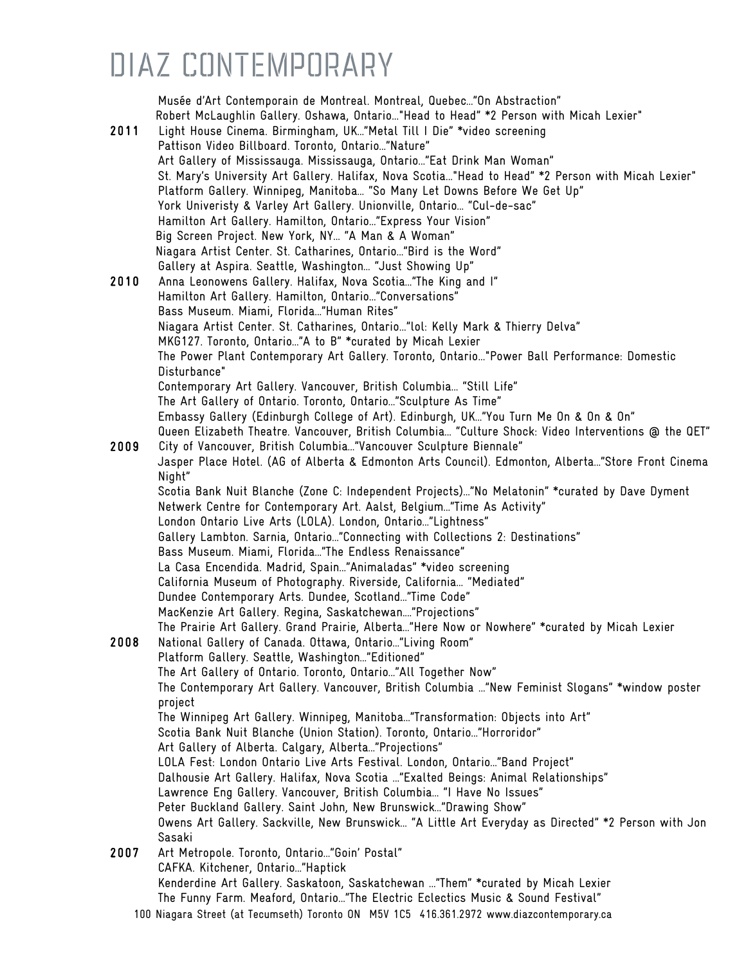Musée d'Art Contemporain de Montreal. Montreal, Quebec…"On Abstraction" Robert McLaughlin Gallery. Oshawa, Ontario..."Head to Head" \*2 Person with Micah Lexier" 2011 Light House Cinema. Birmingham, UK…"Metal Till I Die" \*video screening Pattison Video Billboard. Toronto, Ontario…"Nature" Art Gallery of Mississauga. Mississauga, Ontario…"Eat Drink Man Woman" St. Mary's University Art Gallery. Halifax, Nova Scotia..."Head to Head" \*2 Person with Micah Lexier" Platform Gallery. Winnipeg, Manitoba… "So Many Let Downs Before We Get Up" York Univeristy & Varley Art Gallery. Unionville, Ontario… "Cul-de-sac" Hamilton Art Gallery. Hamilton, Ontario…"Express Your Vision" Big Screen Project. New York, NY… "A Man & A Woman" Niagara Artist Center. St. Catharines, Ontario…"Bird is the Word" Gallery at Aspira. Seattle, Washington… "Just Showing Up" 2010 Anna Leonowens Gallery. Halifax, Nova Scotia…"The King and I" Hamilton Art Gallery. Hamilton, Ontario…"Conversations" Bass Museum. Miami, Florida…"Human Rites" Niagara Artist Center. St. Catharines, Ontario..."lol: Kelly Mark & Thierry Delva" MKG127. Toronto, Ontario…"A to B" \*curated by Micah Lexier The Power Plant Contemporary Art Gallery. Toronto, Ontario..."Power Ball Performance: Domestic Disturbance" Contemporary Art Gallery. Vancouver, British Columbia… "Still Life" The Art Gallery of Ontario. Toronto, Ontario…"Sculpture As Time" Embassy Gallery (Edinburgh College of Art). Edinburgh, UK…"You Turn Me On & On & On" Queen Elizabeth Theatre. Vancouver, British Columbia… "Culture Shock: Video Interventions @ the QET" 2009 City of Vancouver, British Columbia…"Vancouver Sculpture Biennale" Jasper Place Hotel. (AG of Alberta & Edmonton Arts Council). Edmonton, Alberta…"Store Front Cinema Night" Scotia Bank Nuit Blanche (Zone C: Independent Projects)…"No Melatonin" \*curated by Dave Dyment Netwerk Centre for Contemporary Art. Aalst, Belgium…"Time As Activity" London Ontario Live Arts (LOLA). London, Ontario…"Lightness" Gallery Lambton. Sarnia, Ontario…"Connecting with Collections 2: Destinations" Bass Museum. Miami, Florida…"The Endless Renaissance" La Casa Encendida. Madrid, Spain…"Animaladas" \*video screening California Museum of Photography. Riverside, California… "Mediated" Dundee Contemporary Arts. Dundee, Scotland…"Time Code" MacKenzie Art Gallery. Regina, Saskatchewan.…"Projections" The Prairie Art Gallery. Grand Prairie, Alberta…"Here Now or Nowhere" \*curated by Micah Lexier 2008 National Gallery of Canada. Ottawa, Ontario…"Living Room" Platform Gallery. Seattle, Washington…"Editioned" The Art Gallery of Ontario. Toronto, Ontario…"All Together Now" The Contemporary Art Gallery. Vancouver, British Columbia …"New Feminist Slogans" \*window poster project The Winnipeg Art Gallery. Winnipeg, Manitoba…"Transformation: Objects into Art" Scotia Bank Nuit Blanche (Union Station). Toronto, Ontario…"Horroridor" Art Gallery of Alberta. Calgary, Alberta…"Projections" LOLA Fest: London Ontario Live Arts Festival. London, Ontario…"Band Project" Dalhousie Art Gallery. Halifax, Nova Scotia …"Exalted Beings: Animal Relationships" Lawrence Eng Gallery. Vancouver, British Columbia… "I Have No Issues" Peter Buckland Gallery. Saint John, New Brunswick…"Drawing Show" Owens Art Gallery. Sackville, New Brunswick… "A Little Art Everyday as Directed" \*2 Person with Jon Sasaki 2007 Art Metropole. Toronto, Ontario…"Goin' Postal" CAFKA. Kitchener, Ontario…"Haptick Kenderdine Art Gallery. Saskatoon, Saskatchewan …"Them" \*curated by Micah Lexier The Funny Farm. Meaford, Ontario…"The Electric Eclectics Music & Sound Festival"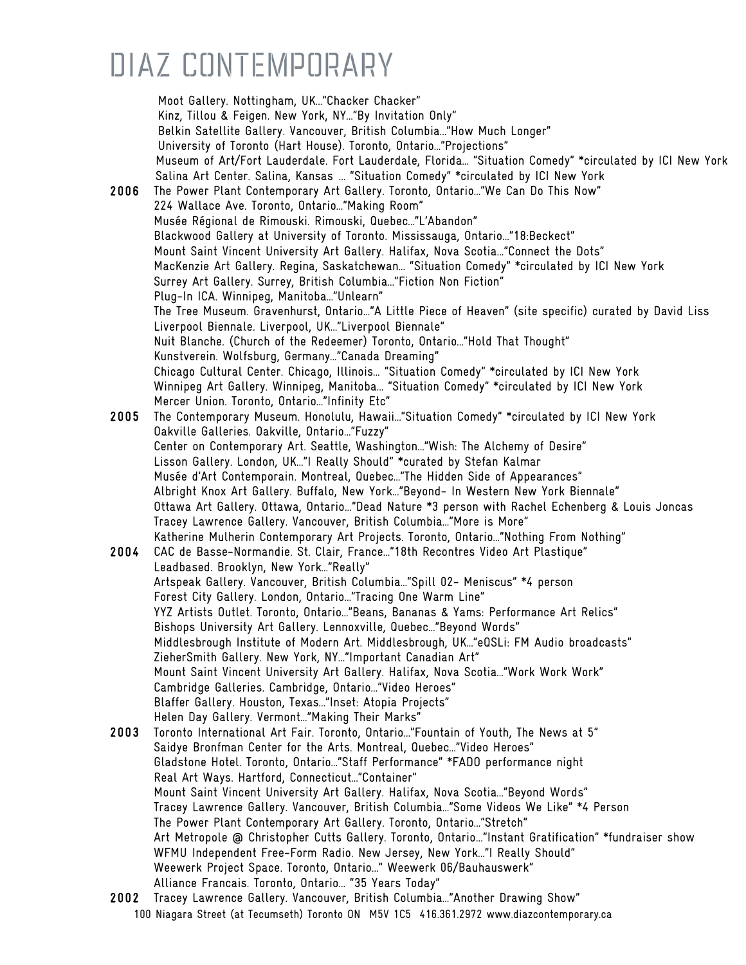Moot Gallery. Nottingham, UK…"Chacker Chacker" Kinz, Tillou & Feigen. New York, NY…"By Invitation Only" Belkin Satellite Gallery. Vancouver, British Columbia…"How Much Longer" University of Toronto (Hart House). Toronto, Ontario…"Projections" Museum of Art/Fort Lauderdale. Fort Lauderdale, Florida… "Situation Comedy" \*circulated by ICI New York Salina Art Center. Salina, Kansas … "Situation Comedy" \*circulated by ICI New York 2006 The Power Plant Contemporary Art Gallery. Toronto, Ontario…"We Can Do This Now" 224 Wallace Ave. Toronto, Ontario…"Making Room" Musée Régional de Rimouski. Rimouski, Quebec…"L'Abandon" Blackwood Gallery at University of Toronto. Mississauga, Ontario…"18:Beckect" Mount Saint Vincent University Art Gallery. Halifax, Nova Scotia..."Connect the Dots" MacKenzie Art Gallery. Regina, Saskatchewan… "Situation Comedy" \*circulated by ICI New York Surrey Art Gallery. Surrey, British Columbia…"Fiction Non Fiction" Plug-In ICA. Winnipeg, Manitoba…"Unlearn" The Tree Museum. Gravenhurst, Ontario…"A Little Piece of Heaven" (site specific) curated by David Liss Liverpool Biennale. Liverpool, UK…"Liverpool Biennale" Nuit Blanche. (Church of the Redeemer) Toronto, Ontario…"Hold That Thought" Kunstverein. Wolfsburg, Germany…"Canada Dreaming" Chicago Cultural Center. Chicago, Illinois… "Situation Comedy" \*circulated by ICI New York Winnipeg Art Gallery. Winnipeg, Manitoba… "Situation Comedy" \*circulated by ICI New York Mercer Union. Toronto, Ontario…"Infinity Etc" 2005 The Contemporary Museum. Honolulu, Hawaii…"Situation Comedy" \*circulated by ICI New York Oakville Galleries. Oakville, Ontario…"Fuzzy" Center on Contemporary Art. Seattle, Washington…"Wish: The Alchemy of Desire" Lisson Gallery. London, UK…"I Really Should" \*curated by Stefan Kalmar Musée d'Art Contemporain. Montreal, Quebec…"The Hidden Side of Appearances" Albright Knox Art Gallery. Buffalo, New York…"Beyond- In Western New York Biennale" Ottawa Art Gallery. Ottawa, Ontario..."Dead Nature \*3 person with Rachel Echenberg & Louis Joncas Tracey Lawrence Gallery. Vancouver, British Columbia…"More is More" Katherine Mulherin Contemporary Art Projects. Toronto, Ontario…"Nothing From Nothing" 2004 CAC de Basse-Normandie. St. Clair, France…"18th Recontres Video Art Plastique" Leadbased. Brooklyn, New York…"Really" Artspeak Gallery. Vancouver, British Columbia…"Spill 02- Meniscus" \*4 person Forest City Gallery. London, Ontario…"Tracing One Warm Line" YYZ Artists Outlet. Toronto, Ontario…"Beans, Bananas & Yams: Performance Art Relics" Bishops University Art Gallery. Lennoxville, Quebec…"Beyond Words" Middlesbrough Institute of Modern Art. Middlesbrough, UK…"eQSLi: FM Audio broadcasts" ZieherSmith Gallery. New York, NY…"Important Canadian Art" Mount Saint Vincent University Art Gallery. Halifax, Nova Scotia…"Work Work Work" Cambridge Galleries. Cambridge, Ontario…"Video Heroes" Blaffer Gallery. Houston, Texas…"Inset: Atopia Projects" Helen Day Gallery. Vermont…"Making Their Marks" 2003 Toronto International Art Fair. Toronto, Ontario…"Fountain of Youth, The News at 5" Saidye Bronfman Center for the Arts. Montreal, Quebec…"Video Heroes" Gladstone Hotel. Toronto, Ontario…"Staff Performance" \*FADO performance night Real Art Ways. Hartford, Connecticut…"Container" Mount Saint Vincent University Art Gallery. Halifax, Nova Scotia…"Beyond Words" Tracey Lawrence Gallery. Vancouver, British Columbia…"Some Videos We Like" \*4 Person The Power Plant Contemporary Art Gallery. Toronto, Ontario…"Stretch" Art Metropole @ Christopher Cutts Gallery. Toronto, Ontario..."Instant Gratification" \*fundraiser show WFMU Independent Free-Form Radio. New Jersey, New York…"I Really Should" Weewerk Project Space. Toronto, Ontario…" Weewerk 06/Bauhauswerk" Alliance Francais. Toronto, Ontario… "35 Years Today" 2002 Tracey Lawrence Gallery. Vancouver, British Columbia…"Another Drawing Show"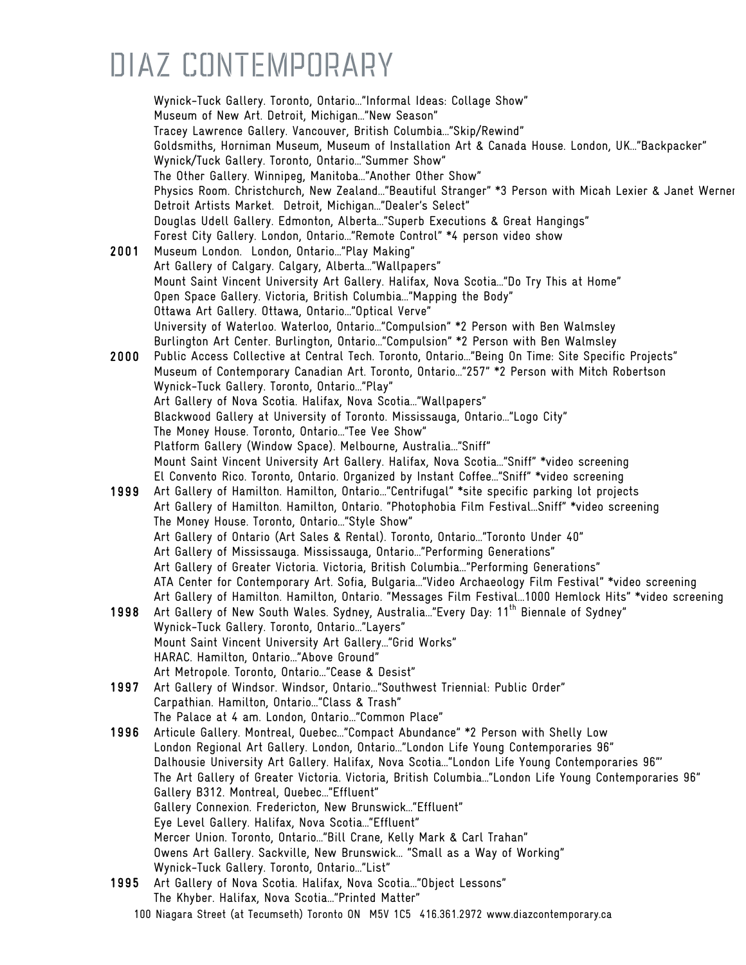Wynick-Tuck Gallery. Toronto, Ontario…"Informal Ideas: Collage Show" Museum of New Art. Detroit, Michigan…"New Season" Tracey Lawrence Gallery. Vancouver, British Columbia…"Skip/Rewind" Goldsmiths, Horniman Museum, Museum of Installation Art & Canada House. London, UK…"Backpacker" Wynick/Tuck Gallery. Toronto, Ontario…"Summer Show" The Other Gallery. Winnipeg, Manitoba…"Another Other Show" Physics Room. Christchurch, New Zealand…"Beautiful Stranger" \*3 Person with Micah Lexier & Janet Werner Detroit Artists Market. Detroit, Michigan…"Dealer's Select" Douglas Udell Gallery. Edmonton, Alberta…"Superb Executions & Great Hangings" Forest City Gallery. London, Ontario…"Remote Control" \*4 person video show 2001 Museum London. London, Ontario…"Play Making" Art Gallery of Calgary. Calgary, Alberta…"Wallpapers" Mount Saint Vincent University Art Gallery. Halifax, Nova Scotia…"Do Try This at Home" Open Space Gallery. Victoria, British Columbia…"Mapping the Body" Ottawa Art Gallery. Ottawa, Ontario…"Optical Verve" University of Waterloo. Waterloo, Ontario…"Compulsion" \*2 Person with Ben Walmsley Burlington Art Center. Burlington, Ontario…"Compulsion" \*2 Person with Ben Walmsley 2000 Public Access Collective at Central Tech. Toronto, Ontario…"Being On Time: Site Specific Projects" Museum of Contemporary Canadian Art. Toronto, Ontario…"257" \*2 Person with Mitch Robertson Wynick-Tuck Gallery. Toronto, Ontario…"Play" Art Gallery of Nova Scotia. Halifax, Nova Scotia…"Wallpapers" Blackwood Gallery at University of Toronto. Mississauga, Ontario…"Logo City" The Money House. Toronto, Ontario…"Tee Vee Show" Platform Gallery (Window Space). Melbourne, Australia…"Sniff" Mount Saint Vincent University Art Gallery. Halifax, Nova Scotia…"Sniff" \*video screening El Convento Rico. Toronto, Ontario. Organized by Instant Coffee…"Sniff" \*video screening 1999 Art Gallery of Hamilton. Hamilton, Ontario…"Centrifugal" \*site specific parking lot projects Art Gallery of Hamilton. Hamilton, Ontario. "Photophobia Film Festival…Sniff" \*video screening The Money House. Toronto, Ontario…"Style Show" Art Gallery of Ontario (Art Sales & Rental). Toronto, Ontario…"Toronto Under 40" Art Gallery of Mississauga. Mississauga, Ontario…"Performing Generations" Art Gallery of Greater Victoria. Victoria, British Columbia…"Performing Generations" ATA Center for Contemporary Art. Sofia, Bulgaria…"Video Archaeology Film Festival" \*video screening Art Gallery of Hamilton. Hamilton, Ontario. "Messages Film Festival…1000 Hemlock Hits" \*video screening 1998 Art Gallery of New South Wales. Sydney, Australia..."Every Day: 11<sup>th</sup> Biennale of Sydney" Wynick-Tuck Gallery. Toronto, Ontario…"Layers" Mount Saint Vincent University Art Gallery…"Grid Works" HARAC. Hamilton, Ontario…"Above Ground" Art Metropole. Toronto, Ontario…"Cease & Desist" 1997 Art Gallery of Windsor. Windsor, Ontario…"Southwest Triennial: Public Order" Carpathian. Hamilton, Ontario…"Class & Trash" The Palace at 4 am. London, Ontario…"Common Place" 1996 Articule Gallery. Montreal, Quebec…"Compact Abundance" \*2 Person with Shelly Low London Regional Art Gallery. London, Ontario…"London Life Young Contemporaries 96" Dalhousie University Art Gallery. Halifax, Nova Scotia…"London Life Young Contemporaries 96"' The Art Gallery of Greater Victoria. Victoria, British Columbia…"London Life Young Contemporaries 96" Gallery B312. Montreal, Quebec…"Effluent" Gallery Connexion. Fredericton, New Brunswick…"Effluent" Eye Level Gallery. Halifax, Nova Scotia…"Effluent" Mercer Union. Toronto, Ontario…"Bill Crane, Kelly Mark & Carl Trahan" Owens Art Gallery. Sackville, New Brunswick… "Small as a Way of Working" Wynick-Tuck Gallery. Toronto, Ontario…"List" 1995 Art Gallery of Nova Scotia. Halifax, Nova Scotia…"Object Lessons" The Khyber. Halifax, Nova Scotia…"Printed Matter"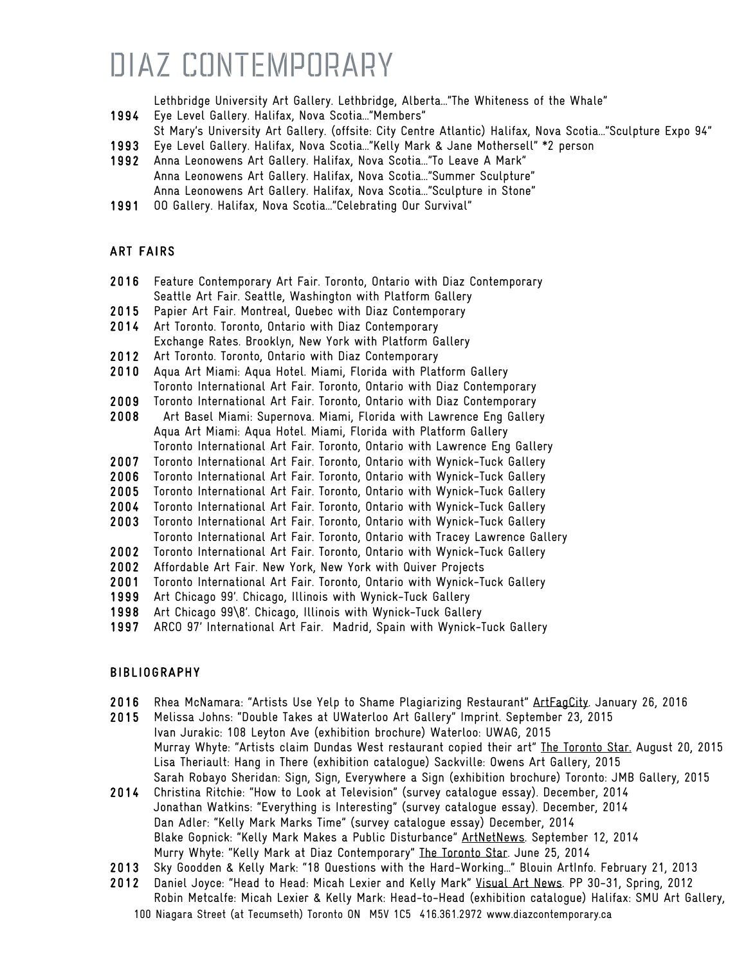Lethbridge University Art Gallery. Lethbridge, Alberta…"The Whiteness of the Whale"

- 1994 Eye Level Gallery. Halifax, Nova Scotia…"Members"
- St Mary's University Art Gallery. (offsite: City Centre Atlantic) Halifax, Nova Scotia…"Sculpture Expo 94"
- 1993 Eye Level Gallery. Halifax, Nova Scotia…"Kelly Mark & Jane Mothersell" \*2 person
- 1992 Anna Leonowens Art Gallery. Halifax, Nova Scotia…"To Leave A Mark" Anna Leonowens Art Gallery. Halifax, Nova Scotia…"Summer Sculpture" Anna Leonowens Art Gallery. Halifax, Nova Scotia…"Sculpture in Stone"
- 1991 OO Gallery. Halifax, Nova Scotia…"Celebrating Our Survival"

#### ART FAIRS

- 2016 Feature Contemporary Art Fair. Toronto, Ontario with Diaz Contemporary Seattle Art Fair. Seattle, Washington with Platform Gallery
- 2015 Papier Art Fair. Montreal, Quebec with Diaz Contemporary
- 2014 Art Toronto. Toronto, Ontario with Diaz Contemporary
- Exchange Rates. Brooklyn, New York with Platform Gallery
- 2012 Art Toronto. Toronto, Ontario with Diaz Contemporary
- 2010 Aqua Art Miami: Aqua Hotel. Miami, Florida with Platform Gallery Toronto International Art Fair. Toronto, Ontario with Diaz Contemporary
- 2009 Toronto International Art Fair. Toronto, Ontario with Diaz Contemporary
- 2008 Art Basel Miami: Supernova. Miami, Florida with Lawrence Eng Gallery Aqua Art Miami: Aqua Hotel. Miami, Florida with Platform Gallery Toronto International Art Fair. Toronto, Ontario with Lawrence Eng Gallery
- 2007 Toronto International Art Fair. Toronto, Ontario with Wynick-Tuck Gallery
- 2006 Toronto International Art Fair. Toronto, Ontario with Wynick-Tuck Gallery
- 2005 Toronto International Art Fair. Toronto, Ontario with Wynick-Tuck Gallery
- 2004 Toronto International Art Fair. Toronto, Ontario with Wynick-Tuck Gallery
- 2003 Toronto International Art Fair. Toronto, Ontario with Wynick-Tuck Gallery
- Toronto International Art Fair. Toronto, Ontario with Tracey Lawrence Gallery
- 2002 Toronto International Art Fair. Toronto, Ontario with Wynick-Tuck Gallery
- 2002 Affordable Art Fair. New York, New York with Quiver Projects
- 2001 Toronto International Art Fair. Toronto, Ontario with Wynick-Tuck Gallery
- 1999 Art Chicago 99'. Chicago, Illinois with Wynick-Tuck Gallery
- 1998 Art Chicago 99\8'. Chicago, Illinois with Wynick-Tuck Gallery
- 1997 ARCO 97' International Art Fair. Madrid, Spain with Wynick-Tuck Gallery

#### BIBLIOGRAPHY

- 2016 Rhea McNamara: "Artists Use Yelp to Shame Plagiarizing Restaurant" ArtFagCity. January 26, 2016
- 2015 Melissa Johns: "Double Takes at UWaterloo Art Gallery" Imprint. September 23, 2015 Ivan Jurakic: 108 Leyton Ave (exhibition brochure) Waterloo: UWAG, 2015 Murray Whyte: "Artists claim Dundas West restaurant copied their art" The Toronto Star. August 20, 2015 Lisa Theriault: Hang in There (exhibition catalogue) Sackville: Owens Art Gallery, 2015 Sarah Robayo Sheridan: Sign, Sign, Everywhere a Sign (exhibition brochure) Toronto: JMB Gallery, 2015
- 2014 Christina Ritchie: "How to Look at Television" (survey catalogue essay). December, 2014 Jonathan Watkins: "Everything is Interesting" (survey catalogue essay). December, 2014 Dan Adler: "Kelly Mark Marks Time" (survey catalogue essay) December, 2014 Blake Gopnick: "Kelly Mark Makes a Public Disturbance" ArtNetNews. September 12, 2014 Murry Whyte: "Kelly Mark at Diaz Contemporary" The Toronto Star. June 25, 2014
- 2013 Sky Goodden & Kelly Mark: "18 Questions with the Hard-Working…" Blouin ArtInfo. February 21, 2013
- 2012 Daniel Joyce: "Head to Head: Micah Lexier and Kelly Mark" Visual Art News. PP 30-31, Spring, 2012 Robin Metcalfe: Micah Lexier & Kelly Mark: Head-to-Head (exhibition catalogue) Halifax: SMU Art Gallery,
	- 100 Niagara Street (at Tecumseth) Toronto ON M5V 1C5 416.361.2972 www.diazcontemporary.ca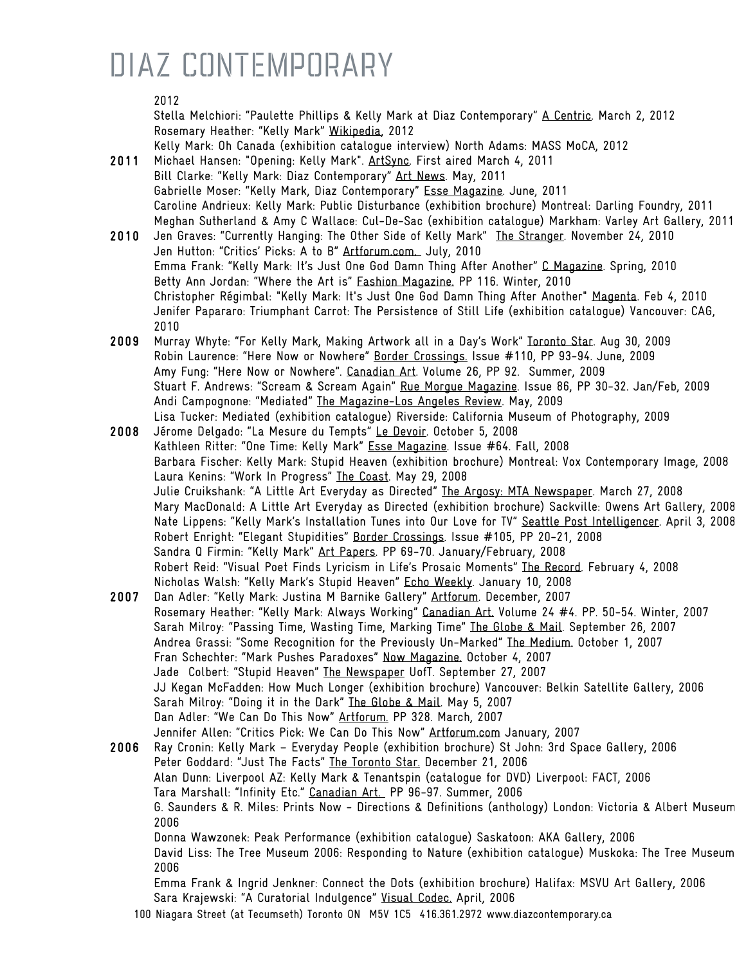#### 2012

Stella Melchiori: "Paulette Phillips & Kelly Mark at Diaz Contemporary" A Centric. March 2, 2012 Rosemary Heather: "Kelly Mark" Wikipedia, 2012 Kelly Mark: Oh Canada (exhibition catalogue interview) North Adams: MASS MoCA, 2012

- 2011 Michael Hansen: "Opening: Kelly Mark". ArtSync. First aired March 4, 2011 Bill Clarke: "Kelly Mark: Diaz Contemporary" Art News. May, 2011 Gabrielle Moser: "Kelly Mark, Diaz Contemporary" Esse Magazine. June, 2011 Caroline Andrieux: Kelly Mark: Public Disturbance (exhibition brochure) Montreal: Darling Foundry, 2011 Meghan Sutherland & Amy C Wallace: Cul-De-Sac (exhibition catalogue) Markham: Varley Art Gallery, 2011
- 2010 Jen Graves: "Currently Hanging: The Other Side of Kelly Mark" The Stranger. November 24, 2010 Jen Hutton: "Critics' Picks: A to B" Artforum.com. July, 2010 Emma Frank: "Kelly Mark: It's Just One God Damn Thing After Another" C Magazine. Spring, 2010 Betty Ann Jordan: "Where the Art is" Fashion Magazine. PP 116. Winter, 2010 Christopher Régimbal: "Kelly Mark: It's Just One God Damn Thing After Another" Magenta. Feb 4, 2010 Jenifer Papararo: Triumphant Carrot: The Persistence of Still Life (exhibition catalogue) Vancouver: CAG, 2010
- 2009 Murray Whyte: "For Kelly Mark, Making Artwork all in a Day's Work" Toronto Star. Aug 30, 2009 Robin Laurence: "Here Now or Nowhere" Border Crossings. Issue #110, PP 93-94. June, 2009 Amy Fung: "Here Now or Nowhere". Canadian Art. Volume 26, PP 92. Summer, 2009 Stuart F. Andrews: "Scream & Scream Again" Rue Morgue Magazine. Issue 86, PP 30-32. Jan/Feb, 2009 Andi Campognone: "Mediated" The Magazine-Los Angeles Review. May, 2009 Lisa Tucker: Mediated (exhibition catalogue) Riverside: California Museum of Photography, 2009
- 2008 Jérome Delgado: "La Mesure du Tempts" Le Devoir. October 5, 2008 Kathleen Ritter: "One Time: Kelly Mark" Esse Magazine. Issue #64. Fall, 2008 Barbara Fischer: Kelly Mark: Stupid Heaven (exhibition brochure) Montreal: Vox Contemporary Image, 2008 Laura Kenins: "Work In Progress" The Coast. May 29, 2008 Julie Cruikshank: "A Little Art Everyday as Directed" The Argosy: MTA Newspaper. March 27, 2008 Mary MacDonald: A Little Art Everyday as Directed (exhibition brochure) Sackville: Owens Art Gallery, 2008 Nate Lippens: "Kelly Mark's Installation Tunes into Our Love for TV" Seattle Post Intelligencer. April 3, 2008 Robert Enright: "Elegant Stupidities" Border Crossings. Issue #105, PP 20-21, 2008 Sandra Q Firmin: "Kelly Mark" Art Papers. PP 69-70. January/February, 2008 Robert Reid: "Visual Poet Finds Lyricism in Life's Prosaic Moments" The Record. February 4, 2008 Nicholas Walsh: "Kelly Mark's Stupid Heaven" Echo Weekly. January 10, 2008
- 2007 Dan Adler: "Kelly Mark: Justina M Barnike Gallery" Artforum. December, 2007 Rosemary Heather: "Kelly Mark: Always Working" Canadian Art. Volume 24 #4. PP. 50-54. Winter, 2007 Sarah Milroy: "Passing Time, Wasting Time, Marking Time" The Globe & Mail. September 26, 2007 Andrea Grassi: "Some Recognition for the Previously Un-Marked" The Medium. October 1, 2007 Fran Schechter: "Mark Pushes Paradoxes" Now Magazine. October 4, 2007 Jade Colbert: "Stupid Heaven" The Newspaper UofT. September 27, 2007 JJ Kegan McFadden: How Much Longer (exhibition brochure) Vancouver: Belkin Satellite Gallery, 2006 Sarah Milroy: "Doing it in the Dark" The Globe & Mail. May 5, 2007 Dan Adler: "We Can Do This Now" Artforum. PP 328. March, 2007 Jennifer Allen: "Critics Pick: We Can Do This Now" Artforum.com January, 2007
- 2006 Ray Cronin: Kelly Mark Everyday People (exhibition brochure) St John: 3rd Space Gallery, 2006 Peter Goddard: "Just The Facts" The Toronto Star. December 21, 2006 Alan Dunn: Liverpool AZ: Kelly Mark & Tenantspin (catalogue for DVD) Liverpool: FACT, 2006 Tara Marshall: "Infinity Etc." Canadian Art. PP 96-97. Summer, 2006 G. Saunders & R. Miles: Prints Now - Directions & Definitions (anthology) London: Victoria & Albert Museum, 2006 Donna Wawzonek: Peak Performance (exhibition catalogue) Saskatoon: AKA Gallery, 2006 David Liss: The Tree Museum 2006: Responding to Nature (exhibition catalogue) Muskoka: The Tree Museum, 2006 Emma Frank & Ingrid Jenkner: Connect the Dots (exhibition brochure) Halifax: MSVU Art Gallery, 2006

Sara Krajewski: "A Curatorial Indulgence" Visual Codec. April, 2006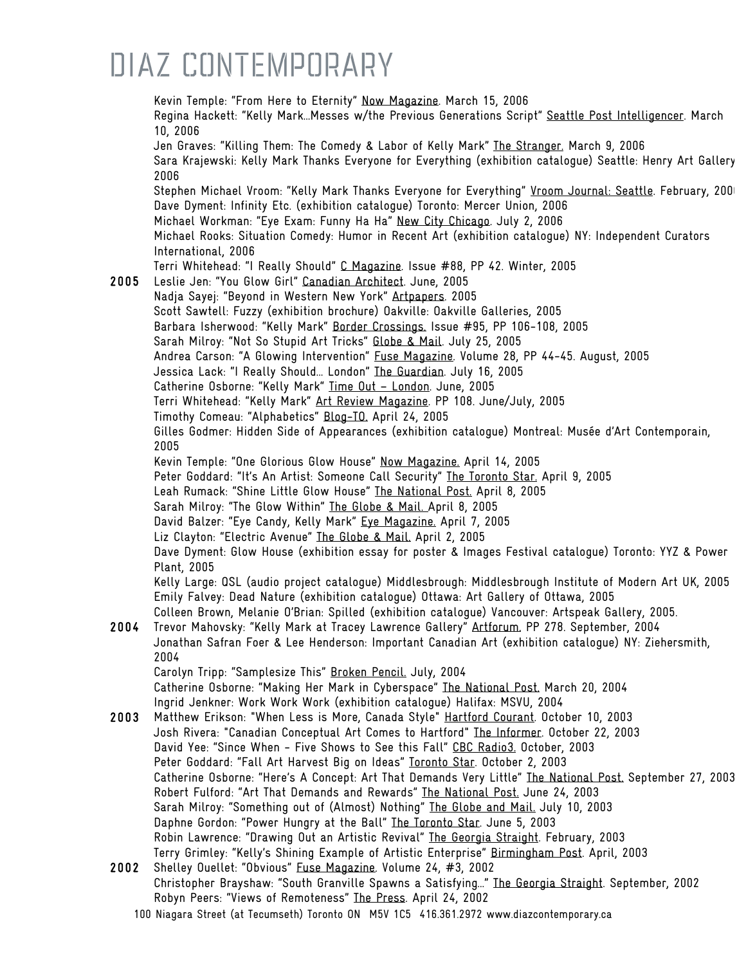|      | Kevin Temple: "From Here to Eternity" Now Magazine. March 15, 2006<br>Regina Hackett: "Kelly MarkMesses w/the Previous Generations Script" Seattle Post Intelligencer. March<br>10, 2006                        |
|------|-----------------------------------------------------------------------------------------------------------------------------------------------------------------------------------------------------------------|
|      | Jen Graves: "Killing Them: The Comedy & Labor of Kelly Mark" The Stranger. March 9, 2006<br>Sara Krajewski: Kelly Mark Thanks Everyone for Everything (exhibition catalogue) Seattle: Henry Art Gallery<br>2006 |
|      | Stephen Michael Vroom: "Kelly Mark Thanks Everyone for Everything" Vroom Journal: Seattle. February, 200<br>Dave Dyment: Infinity Etc. (exhibition catalogue) Toronto: Mercer Union, 2006                       |
|      | Michael Workman: "Eye Exam: Funny Ha Ha" New City Chicago. July 2, 2006<br>Michael Rooks: Situation Comedy: Humor in Recent Art (exhibition catalogue) NY: Independent Curators                                 |
|      | International, 2006<br>Terri Whitehead: "I Really Should" C Magazine. Issue #88, PP 42. Winter, 2005                                                                                                            |
| 2005 | Leslie Jen: "You Glow Girl" Canadian Architect. June, 2005<br>Nadja Sayej: "Beyond in Western New York" Artpapers. 2005                                                                                         |
|      | Scott Sawtell: Fuzzy (exhibition brochure) Oakville: Oakville Galleries, 2005                                                                                                                                   |
|      | Barbara Isherwood: "Kelly Mark" Border Crossings. Issue #95, PP 106-108, 2005                                                                                                                                   |
|      | Sarah Milroy: "Not So Stupid Art Tricks" Globe & Mail. July 25, 2005                                                                                                                                            |
|      | Andrea Carson: "A Glowing Intervention" Fuse Magazine. Volume 28, PP 44-45. August, 2005<br>Jessica Lack: "I Really Should London" The Guardian. July 16, 2005                                                  |
|      | Catherine Osborne: "Kelly Mark" Time Out - London. June, 2005                                                                                                                                                   |
|      | Terri Whitehead: "Kelly Mark" Art Review Magazine. PP 108. June/July, 2005                                                                                                                                      |
|      | Timothy Comeau: "Alphabetics" Blog-TO, April 24, 2005                                                                                                                                                           |
|      | Gilles Godmer: Hidden Side of Appearances (exhibition catalogue) Montreal: Musée d'Art Contemporain,<br>2005                                                                                                    |
|      | Kevin Temple: "One Glorious Glow House" Now Magazine. April 14, 2005                                                                                                                                            |
|      | Peter Goddard: "It's An Artist: Someone Call Security" The Toronto Star. April 9, 2005                                                                                                                          |
|      | Leah Rumack: "Shine Little Glow House" The National Post. April 8, 2005                                                                                                                                         |
|      | Sarah Milroy: "The Glow Within" The Globe & Mail. April 8, 2005                                                                                                                                                 |
|      | David Balzer: "Eye Candy, Kelly Mark" Eye Magazine. April 7, 2005<br>Liz Clayton: "Electric Avenue" The Globe & Mail. April 2, 2005                                                                             |
|      | Dave Dyment: Glow House (exhibition essay for poster & Images Festival catalogue) Toronto: YYZ & Power                                                                                                          |
|      | Plant, 2005                                                                                                                                                                                                     |
|      | Kelly Large: QSL (audio project catalogue) Middlesbrough: Middlesbrough Institute of Modern Art UK, 2005                                                                                                        |
|      | Emily Falvey: Dead Nature (exhibition catalogue) Ottawa: Art Gallery of Ottawa, 2005                                                                                                                            |
| 2004 | Colleen Brown, Melanie O'Brian: Spilled (exhibition catalogue) Vancouver: Artspeak Gallery, 2005.<br>Trevor Mahovsky: "Kelly Mark at Tracey Lawrence Gallery" Artforum. PP 278. September, 2004                 |
|      | Jonathan Safran Foer & Lee Henderson: Important Canadian Art (exhibition catalogue) NY: Ziehersmith,<br>2004                                                                                                    |
|      | Carolyn Tripp: "Samplesize This" Broken Pencil. July, 2004                                                                                                                                                      |
|      | Catherine Osborne: "Making Her Mark in Cyberspace" The National Post. March 20, 2004                                                                                                                            |
|      | Ingrid Jenkner: Work Work Work (exhibition catalogue) Halifax: MSVU, 2004                                                                                                                                       |
| 2003 | Matthew Erikson: "When Less is More, Canada Style" Hartford Courant. October 10, 2003<br>Josh Rivera: "Canadian Conceptual Art Comes to Hartford" The Informer. October 22, 2003                                |
|      | David Yee: "Since When - Five Shows to See this Fall" CBC Radio3. October, 2003                                                                                                                                 |
|      | Peter Goddard: "Fall Art Harvest Big on Ideas" Toronto Star. October 2, 2003                                                                                                                                    |
|      | Catherine Osborne: "Here's A Concept: Art That Demands Very Little" The National Post. September 27, 2003                                                                                                       |
|      | Robert Fulford: "Art That Demands and Rewards" The National Post. June 24, 2003                                                                                                                                 |
|      | Sarah Milroy: "Something out of (Almost) Nothing" The Globe and Mail. July 10, 2003                                                                                                                             |
|      | Daphne Gordon: "Power Hungry at the Ball" The Toronto Star. June 5, 2003                                                                                                                                        |
|      | Robin Lawrence: "Drawing Out an Artistic Revival" The Georgia Straight. February, 2003                                                                                                                          |
| 2002 | Terry Grimley: "Kelly's Shining Example of Artistic Enterprise" Birmingham Post. April, 2003                                                                                                                    |
|      | Shelley Ouellet: "Obvious" Fuse Magazine. Volume 24, #3, 2002<br>Christopher Brayshaw: "South Granville Spawns a Satisfying" The Georgia Straight. September, 2002                                              |
|      | Robyn Peers: "Views of Remoteness" The Press. April 24, 2002                                                                                                                                                    |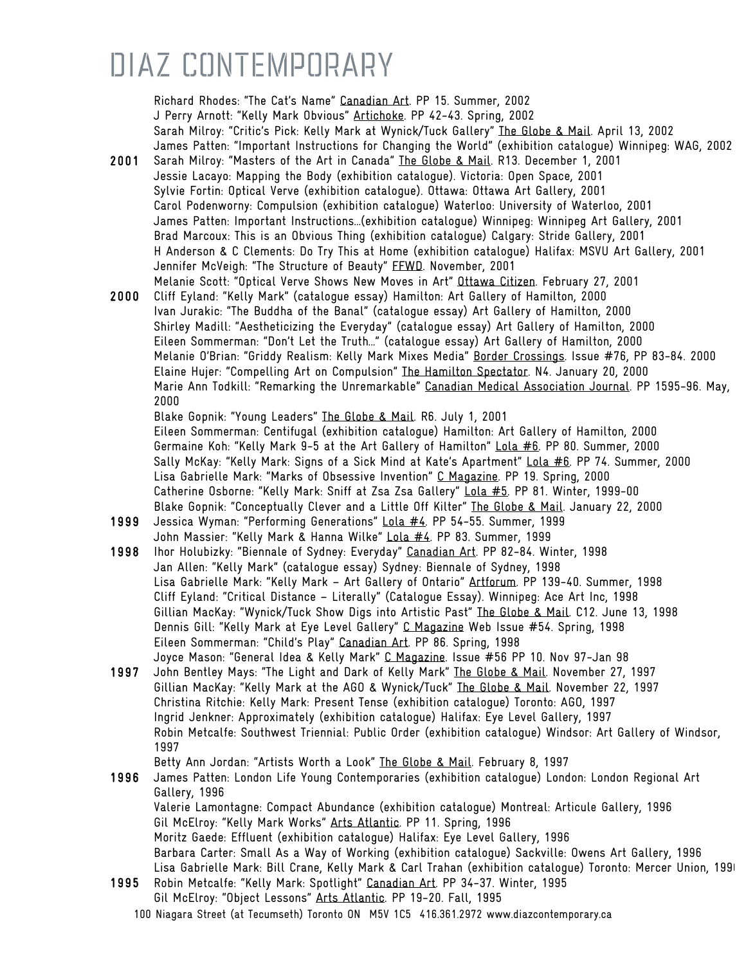Richard Rhodes: "The Cat's Name" Canadian Art. PP 15. Summer, 2002 J Perry Arnott: "Kelly Mark Obvious" Artichoke. PP 42-43. Spring, 2002 Sarah Milroy: "Critic's Pick: Kelly Mark at Wynick/Tuck Gallery" The Globe & Mail. April 13, 2002 James Patten: "Important Instructions for Changing the World" (exhibition catalogue) Winnipeg: WAG, 2002

- 2001 Sarah Milroy: "Masters of the Art in Canada" The Globe & Mail. R13. December 1, 2001 Jessie Lacayo: Mapping the Body (exhibition catalogue). Victoria: Open Space, 2001 Sylvie Fortin: Optical Verve (exhibition catalogue). Ottawa: Ottawa Art Gallery, 2001 Carol Podenworny: Compulsion (exhibition catalogue) Waterloo: University of Waterloo, 2001 James Patten: Important Instructions…(exhibition catalogue) Winnipeg: Winnipeg Art Gallery, 2001 Brad Marcoux: This is an Obvious Thing (exhibition catalogue) Calgary: Stride Gallery, 2001 H Anderson & C Clements: Do Try This at Home (exhibition catalogue) Halifax: MSVU Art Gallery, 2001 Jennifer McVeigh: "The Structure of Beauty" FFWD. November, 2001
- Melanie Scott: "Optical Verve Shows New Moves in Art" Ottawa Citizen. February 27, 2001 2000 Cliff Eyland: "Kelly Mark" (catalogue essay) Hamilton: Art Gallery of Hamilton, 2000 Ivan Jurakic: "The Buddha of the Banal" (catalogue essay) Art Gallery of Hamilton, 2000 Shirley Madill: "Aestheticizing the Everyday" (catalogue essay) Art Gallery of Hamilton, 2000 Eileen Sommerman: "Don't Let the Truth…" (catalogue essay) Art Gallery of Hamilton, 2000 Melanie O'Brian: "Griddy Realism: Kelly Mark Mixes Media" Border Crossings. Issue #76, PP 83-84. 2000 Elaine Hujer: "Compelling Art on Compulsion" The Hamilton Spectator. N4. January 20, 2000 Marie Ann Todkill: "Remarking the Unremarkable" Canadian Medical Association Journal. PP 1595-96. May, 2000

Blake Gopnik: "Young Leaders" The Globe & Mail. R6. July 1, 2001 Eileen Sommerman: Centifugal (exhibition catalogue) Hamilton: Art Gallery of Hamilton, 2000 Germaine Koh: "Kelly Mark 9-5 at the Art Gallery of Hamilton" Lola #6. PP 80. Summer, 2000 Sally McKay: "Kelly Mark: Signs of a Sick Mind at Kate's Apartment" Lola #6. PP 74. Summer, 2000 Lisa Gabrielle Mark: "Marks of Obsessive Invention" C Magazine. PP 19. Spring, 2000 Catherine Osborne: "Kelly Mark: Sniff at Zsa Zsa Gallery" Lola #5. PP 81. Winter, 1999-00 Blake Gopnik: "Conceptually Clever and a Little Off Kilter" The Globe & Mail. January 22, 2000

- 1999 Jessica Wyman: "Performing Generations" Lola #4. PP 54-55. Summer, 1999 John Massier: "Kelly Mark & Hanna Wilke" Lola #4. PP 83. Summer, 1999
- 1998 Ihor Holubizky: "Biennale of Sydney: Everyday" Canadian Art. PP 82-84. Winter, 1998 Jan Allen: "Kelly Mark" (catalogue essay) Sydney: Biennale of Sydney, 1998 Lisa Gabrielle Mark: "Kelly Mark – Art Gallery of Ontario" Artforum. PP 139-40. Summer, 1998 Cliff Eyland: "Critical Distance – Literally" (Catalogue Essay). Winnipeg: Ace Art Inc, 1998 Gillian MacKay: "Wynick/Tuck Show Digs into Artistic Past" The Globe & Mail. C12. June 13, 1998 Dennis Gill: "Kelly Mark at Eye Level Gallery" C Magazine Web Issue #54. Spring, 1998 Eileen Sommerman: "Child's Play" Canadian Art. PP 86. Spring, 1998 Joyce Mason: "General Idea & Kelly Mark" C Magazine. Issue #56 PP 10. Nov 97-Jan 98
- 1997 John Bentley Mays: "The Light and Dark of Kelly Mark" The Globe & Mail. November 27, 1997 Gillian MacKay: "Kelly Mark at the AGO & Wynick/Tuck" The Globe & Mail. November 22, 1997 Christina Ritchie: Kelly Mark: Present Tense (exhibition catalogue) Toronto: AGO, 1997 Ingrid Jenkner: Approximately (exhibition catalogue) Halifax: Eye Level Gallery, 1997 Robin Metcalfe: Southwest Triennial: Public Order (exhibition catalogue) Windsor: Art Gallery of Windsor, 1997

Betty Ann Jordan: "Artists Worth a Look" The Globe & Mail. February 8, 1997

- 1996 James Patten: London Life Young Contemporaries (exhibition catalogue) London: London Regional Art Gallery, 1996 Valerie Lamontagne: Compact Abundance (exhibition catalogue) Montreal: Articule Gallery, 1996 Gil McElroy: "Kelly Mark Works" Arts Atlantic. PP 11. Spring, 1996 Moritz Gaede: Effluent (exhibition catalogue) Halifax: Eye Level Gallery, 1996 Barbara Carter: Small As a Way of Working (exhibition catalogue) Sackville: Owens Art Gallery, 1996 Lisa Gabrielle Mark: Bill Crane, Kelly Mark & Carl Trahan (exhibition catalogue) Toronto: Mercer Union, 1996 1995 Robin Metcalfe: "Kelly Mark: Spotlight" Canadian Art. PP 34-37. Winter, 1995
- Gil McElroy: "Object Lessons" Arts Atlantic. PP 19-20. Fall, 1995
	- 100 Niagara Street (at Tecumseth) Toronto ON M5V 1C5 416.361.2972 www.diazcontemporary.ca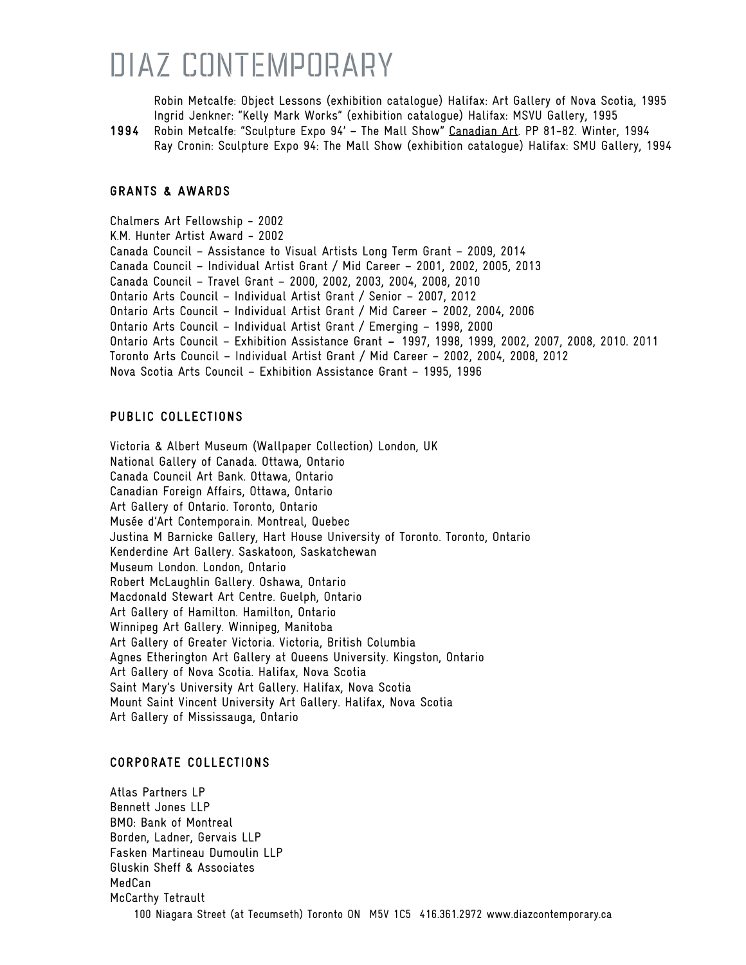Robin Metcalfe: Object Lessons (exhibition catalogue) Halifax: Art Gallery of Nova Scotia, 1995 Ingrid Jenkner: "Kelly Mark Works" (exhibition catalogue) Halifax: MSVU Gallery, 1995

1994 Robin Metcalfe: "Sculpture Expo 94' – The Mall Show" Canadian Art. PP 81-82. Winter, 1994 Ray Cronin: Sculpture Expo 94: The Mall Show (exhibition catalogue) Halifax: SMU Gallery, 1994

#### GRANTS & AWARDS

Chalmers Art Fellowship - 2002 K.M. Hunter Artist Award - 2002 Canada Council – Assistance to Visual Artists Long Term Grant – 2009, 2014 Canada Council – Individual Artist Grant / Mid Career – 2001, 2002, 2005, 2013 Canada Council – Travel Grant – 2000, 2002, 2003, 2004, 2008, 2010 Ontario Arts Council – Individual Artist Grant / Senior – 2007, 2012 Ontario Arts Council – Individual Artist Grant / Mid Career – 2002, 2004, 2006 Ontario Arts Council – Individual Artist Grant / Emerging – 1998, 2000 Ontario Arts Council – Exhibition Assistance Grant – 1997, 1998, 1999, 2002, 2007, 2008, 2010. 2011 Toronto Arts Council – Individual Artist Grant / Mid Career – 2002, 2004, 2008, 2012 Nova Scotia Arts Council – Exhibition Assistance Grant – 1995, 1996

#### PUBLIC COLLECTIONS

Victoria & Albert Museum (Wallpaper Collection) London, UK National Gallery of Canada. Ottawa, Ontario Canada Council Art Bank. Ottawa, Ontario Canadian Foreign Affairs, Ottawa, Ontario Art Gallery of Ontario. Toronto, Ontario Musée d'Art Contemporain. Montreal, Quebec Justina M Barnicke Gallery, Hart House University of Toronto. Toronto, Ontario Kenderdine Art Gallery. Saskatoon, Saskatchewan Museum London. London, Ontario Robert McLaughlin Gallery. Oshawa, Ontario Macdonald Stewart Art Centre. Guelph, Ontario Art Gallery of Hamilton. Hamilton, Ontario Winnipeg Art Gallery. Winnipeg, Manitoba Art Gallery of Greater Victoria. Victoria, British Columbia Agnes Etherington Art Gallery at Queens University. Kingston, Ontario Art Gallery of Nova Scotia. Halifax, Nova Scotia Saint Mary's University Art Gallery. Halifax, Nova Scotia Mount Saint Vincent University Art Gallery. Halifax, Nova Scotia Art Gallery of Mississauga, Ontario

#### CORPORATE COLLECTIONS

100 Niagara Street (at Tecumseth) Toronto ON M5V 1C5 416.361.2972 www.diazcontemporary.ca Atlas Partners LP Bennett Jones LLP BMO: Bank of Montreal Borden, Ladner, Gervais LLP Fasken Martineau Dumoulin LLP Gluskin Sheff & Associates MedCan McCarthy Tetrault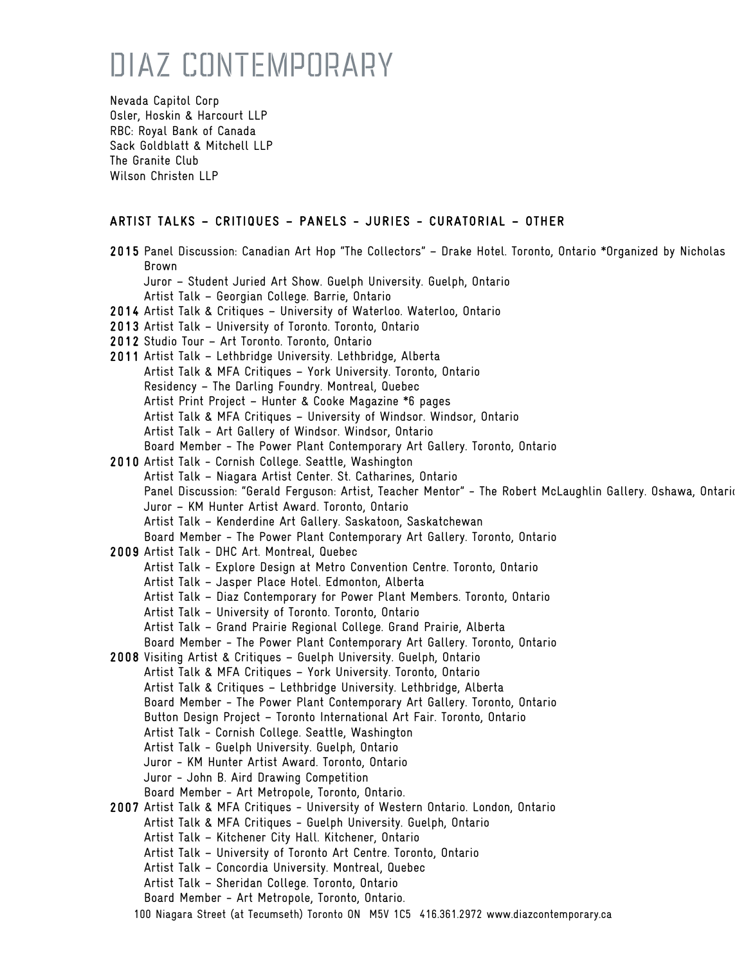Nevada Capitol Corp Osler, Hoskin & Harcourt LLP RBC: Royal Bank of Canada Sack Goldblatt & Mitchell LLP The Granite Club Wilson Christen LLP

#### ARTIST TALKS – CRITIQUES – PANELS - JURIES - CURATORIAL – OTHER

| 2015 Panel Discussion: Canadian Art Hop "The Collectors" - Drake Hotel. Toronto, Ontario *Organized by Nicholas |
|-----------------------------------------------------------------------------------------------------------------|
| Brown                                                                                                           |
| Juror - Student Juried Art Show. Guelph University. Guelph, Ontario                                             |
| Artist Talk - Georgian College. Barrie, Ontario                                                                 |
| 2014 Artist Talk & Critiques - University of Waterloo. Waterloo, Ontario                                        |
| 2013 Artist Talk - University of Toronto. Toronto, Ontario                                                      |
| 2012 Studio Tour - Art Toronto. Toronto, Ontario                                                                |
| 2011 Artist Talk - Lethbridge University. Lethbridge, Alberta                                                   |
| Artist Talk & MFA Critiques - York University. Toronto, Ontario                                                 |
| Residency - The Darling Foundry. Montreal, Quebec                                                               |
| Artist Print Project - Hunter & Cooke Magazine *6 pages                                                         |
| Artist Talk & MFA Critiques - University of Windsor. Windsor, Ontario                                           |
| Artist Talk - Art Gallery of Windsor. Windsor, Ontario                                                          |
| Board Member - The Power Plant Contemporary Art Gallery. Toronto, Ontario                                       |
| 2010 Artist Talk - Cornish College. Seattle, Washington                                                         |
| Artist Talk - Niagara Artist Center. St. Catharines, Ontario                                                    |
| Panel Discussion: "Gerald Ferguson: Artist, Teacher Mentor" - The Robert McLaughlin Gallery. Oshawa, Ontaric    |
| Juror - KM Hunter Artist Award. Toronto, Ontario                                                                |
| Artist Talk - Kenderdine Art Gallery. Saskatoon, Saskatchewan                                                   |
| Board Member - The Power Plant Contemporary Art Gallery. Toronto, Ontario                                       |
| 2009 Artist Talk - DHC Art. Montreal, Quebec                                                                    |
| Artist Talk - Explore Design at Metro Convention Centre. Toronto, Ontario                                       |
| Artist Talk - Jasper Place Hotel. Edmonton, Alberta                                                             |
| Artist Talk - Diaz Contemporary for Power Plant Members. Toronto, Ontario                                       |
| Artist Talk - University of Toronto. Toronto, Ontario                                                           |
| Artist Talk - Grand Prairie Regional College. Grand Prairie, Alberta                                            |
| Board Member - The Power Plant Contemporary Art Gallery. Toronto, Ontario                                       |
| 2008 Visiting Artist & Critiques - Guelph University. Guelph, Ontario                                           |
| Artist Talk & MFA Critiques - York University. Toronto, Ontario                                                 |
| Artist Talk & Critiques - Lethbridge University. Lethbridge, Alberta                                            |
| Board Member - The Power Plant Contemporary Art Gallery. Toronto, Ontario                                       |
| Button Design Project - Toronto International Art Fair. Toronto, Ontario                                        |
| Artist Talk - Cornish College. Seattle, Washington                                                              |
| Artist Talk - Guelph University. Guelph, Ontario                                                                |
| Juror - KM Hunter Artist Award. Toronto, Ontario                                                                |
| Juror - John B. Aird Drawing Competition                                                                        |
| Board Member - Art Metropole, Toronto, Ontario.                                                                 |
| 2007 Artist Talk & MFA Critiques - University of Western Ontario. London, Ontario                               |
| Artist Talk & MFA Critiques - Guelph University. Guelph, Ontario                                                |
| Artist Talk - Kitchener City Hall. Kitchener, Ontario                                                           |
| Artist Talk - University of Toronto Art Centre. Toronto, Ontario                                                |
| Artist Talk - Concordia University. Montreal, Quebec                                                            |
| Artist Talk - Sheridan College. Toronto, Ontario                                                                |
| Board Member - Art Metropole, Toronto, Ontario.                                                                 |
| 100 Niagara Street (at Tecumseth) Toronto ON M5V 1C5 416.361.2972 www.diazcontemporary.ca                       |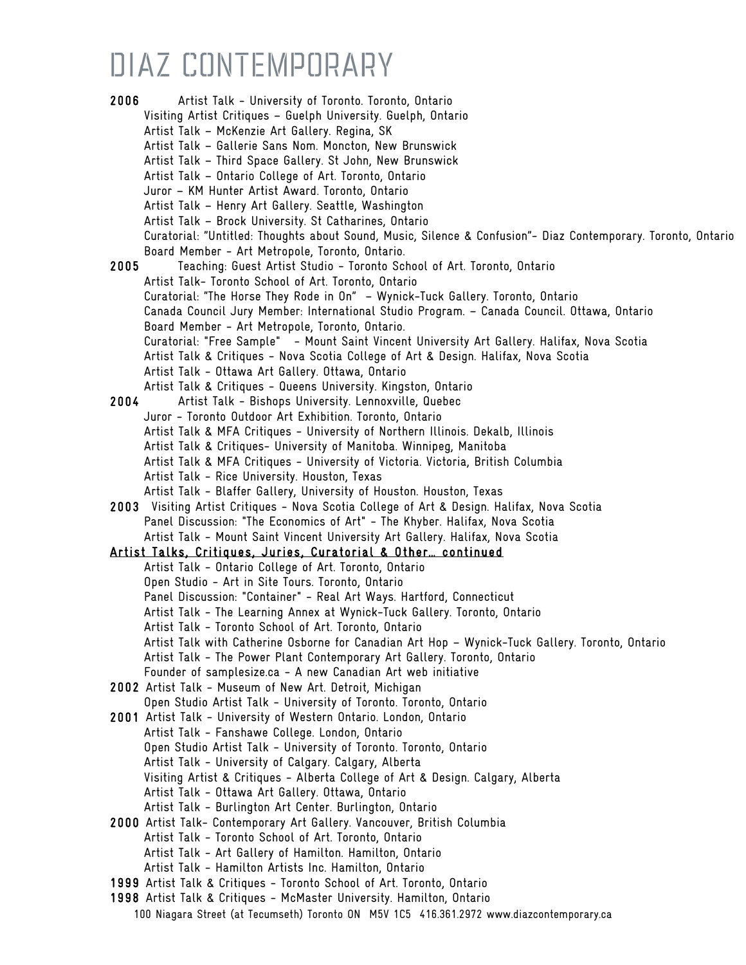100 Niagara Street (at Tecumseth) Toronto ON M5V 1C5 416.361.2972 www.diazcontemporary.ca 2006 Artist Talk - University of Toronto. Toronto, Ontario Visiting Artist Critiques – Guelph University. Guelph, Ontario Artist Talk – McKenzie Art Gallery. Regina, SK Artist Talk – Gallerie Sans Nom. Moncton, New Brunswick Artist Talk – Third Space Gallery. St John, New Brunswick Artist Talk – Ontario College of Art. Toronto, Ontario Juror – KM Hunter Artist Award. Toronto, Ontario Artist Talk – Henry Art Gallery. Seattle, Washington Artist Talk – Brock University. St Catharines, Ontario Curatorial: "Untitled: Thoughts about Sound, Music, Silence & Confusion"- Diaz Contemporary. Toronto, Ontario Board Member - Art Metropole, Toronto, Ontario. 2005 Teaching: Guest Artist Studio - Toronto School of Art. Toronto, Ontario Artist Talk- Toronto School of Art. Toronto, Ontario Curatorial: "The Horse They Rode in On" – Wynick-Tuck Gallery. Toronto, Ontario Canada Council Jury Member: International Studio Program. – Canada Council. Ottawa, Ontario Board Member - Art Metropole, Toronto, Ontario. Curatorial: "Free Sample" - Mount Saint Vincent University Art Gallery. Halifax, Nova Scotia Artist Talk & Critiques - Nova Scotia College of Art & Design. Halifax, Nova Scotia Artist Talk - Ottawa Art Gallery. Ottawa, Ontario Artist Talk & Critiques - Queens University. Kingston, Ontario 2004 Artist Talk - Bishops University. Lennoxville, Quebec Juror - Toronto Outdoor Art Exhibition. Toronto, Ontario Artist Talk & MFA Critiques - University of Northern Illinois. Dekalb, Illinois Artist Talk & Critiques- University of Manitoba. Winnipeg, Manitoba Artist Talk & MFA Critiques - University of Victoria. Victoria, British Columbia Artist Talk - Rice University. Houston, Texas Artist Talk - Blaffer Gallery, University of Houston. Houston, Texas 2003 Visiting Artist Critiques - Nova Scotia College of Art & Design. Halifax, Nova Scotia Panel Discussion: "The Economics of Art" - The Khyber. Halifax, Nova Scotia Artist Talk - Mount Saint Vincent University Art Gallery. Halifax, Nova Scotia Artist Talks, Critiques, Juries, Curatorial & Other… continued Artist Talk - Ontario College of Art. Toronto, Ontario Open Studio - Art in Site Tours. Toronto, Ontario Panel Discussion: "Container" - Real Art Ways. Hartford, Connecticut Artist Talk - The Learning Annex at Wynick-Tuck Gallery. Toronto, Ontario Artist Talk - Toronto School of Art. Toronto, Ontario Artist Talk with Catherine Osborne for Canadian Art Hop – Wynick-Tuck Gallery. Toronto, Ontario Artist Talk - The Power Plant Contemporary Art Gallery. Toronto, Ontario Founder of samplesize.ca - A new Canadian Art web initiative 2002 Artist Talk - Museum of New Art. Detroit, Michigan Open Studio Artist Talk - University of Toronto. Toronto, Ontario 2001 Artist Talk - University of Western Ontario. London, Ontario Artist Talk - Fanshawe College. London, Ontario Open Studio Artist Talk - University of Toronto. Toronto, Ontario Artist Talk - University of Calgary. Calgary, Alberta Visiting Artist & Critiques - Alberta College of Art & Design. Calgary, Alberta Artist Talk - Ottawa Art Gallery. Ottawa, Ontario Artist Talk - Burlington Art Center. Burlington, Ontario 2000 Artist Talk- Contemporary Art Gallery. Vancouver, British Columbia Artist Talk - Toronto School of Art. Toronto, Ontario Artist Talk - Art Gallery of Hamilton. Hamilton, Ontario Artist Talk - Hamilton Artists Inc. Hamilton, Ontario 1999 Artist Talk & Critiques - Toronto School of Art. Toronto, Ontario 1998 Artist Talk & Critiques - McMaster University. Hamilton, Ontario